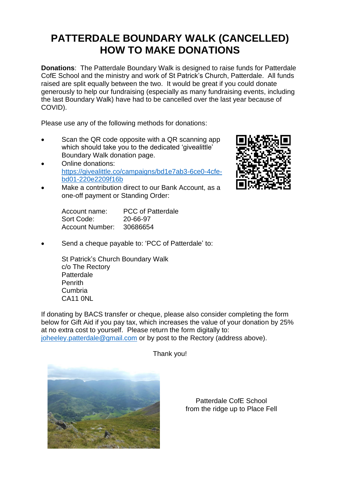## **PATTERDALE BOUNDARY WALK (CANCELLED) HOW TO MAKE DONATIONS**

**Donations**: The Patterdale Boundary Walk is designed to raise funds for Patterdale CofE School and the ministry and work of St Patrick's Church, Patterdale. All funds raised are split equally between the two. It would be great if you could donate generously to help our fundraising (especially as many fundraising events, including the last Boundary Walk) have had to be cancelled over the last year because of COVID).

Please use any of the following methods for donations:

- Scan the QR code opposite with a QR scanning app which should take you to the dedicated 'givealittle' Boundary Walk donation page.
- Online donations: [https://givealittle.co/campaigns/bd1e7ab3-6ce0-4cfe](https://givealittle.co/campaigns/bd1e7ab3-6ce0-4cfe-bd01-220e2209f16b)[bd01-220e2209f16b](https://givealittle.co/campaigns/bd1e7ab3-6ce0-4cfe-bd01-220e2209f16b)



Make a contribution direct to our Bank Account, as a one-off payment or Standing Order:

| Account name:   | <b>PCC of Patterdale</b> |
|-----------------|--------------------------|
| Sort Code:      | 20-66-97                 |
| Account Number: | 30686654                 |

Send a cheque payable to: 'PCC of Patterdale' to:

St Patrick's Church Boundary Walk c/o The Rectory Patterdale **Penrith** Cumbria CA11 0NL

If donating by BACS transfer or cheque, please also consider completing the form below for Gift Aid if you pay tax, which increases the value of your donation by 25% at no extra cost to yourself. Please return the form digitally to: [joheeley.patterdale@gmail.com](mailto:joheeley.patterdale@gmail.com) or by post to the Rectory (address above).



Thank you!

Patterdale CofE School from the ridge up to Place Fell